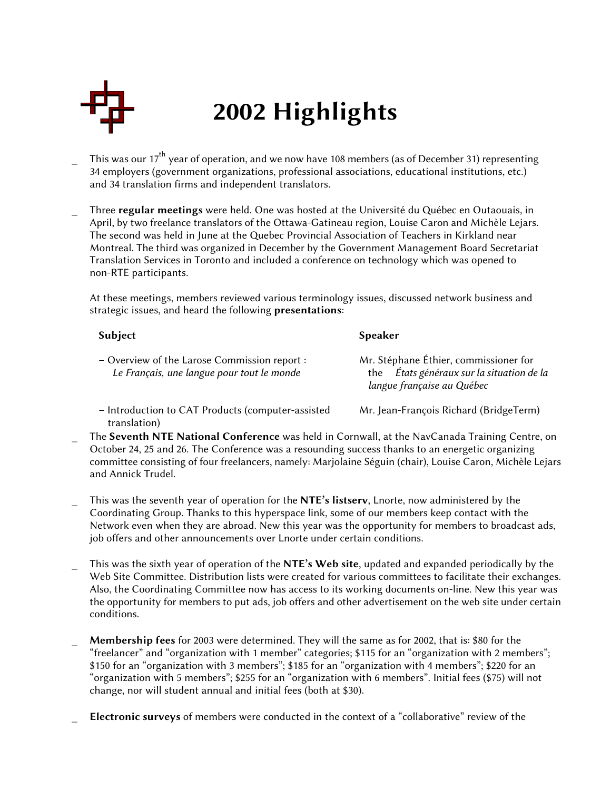

## 2002 Highlights

- This was our 17<sup>th</sup> year of operation, and we now have 108 members (as of December 31) representing 34 employers (government organizations, professional associations, educational institutions, etc.) and 34 translation firms and independent translators.
- Three regular meetings were held. One was hosted at the Université du Québec en Outaouais, in April, by two freelance translators of the Ottawa-Gatineau region, Louise Caron and Michèle Lejars. The second was held in June at the Quebec Provincial Association of Teachers in Kirkland near Montreal. The third was organized in December by the Government Management Board Secretariat Translation Services in Toronto and included a conference on technology which was opened to non-RTE participants.

At these meetings, members reviewed various terminology issues, discussed network business and strategic issues, and heard the following **presentations**:

| Subject                                                                                    | Speaker                                                                                                          |
|--------------------------------------------------------------------------------------------|------------------------------------------------------------------------------------------------------------------|
| - Overview of the Larose Commission report :<br>Le Français, une langue pour tout le monde | Mr. Stéphane Éthier, commissioner for<br>the États généraux sur la situation de la<br>langue française au Québec |
| - Introduction to CAT Products (computer-assisted                                          | Mr. Jean-François Richard (BridgeTerm)                                                                           |

- Introduction to CAT Products (computer-assisted translation)
- The Seventh NTE National Conference was held in Cornwall, at the NavCanada Training Centre, on October 24, 25 and 26. The Conference was a resounding success thanks to an energetic organizing committee consisting of four freelancers, namely: Marjolaine Séguin (chair), Louise Caron, Michèle Lejars and Annick Trudel.
- This was the seventh year of operation for the NTE's listserv, Lnorte, now administered by the Coordinating Group. Thanks to this hyperspace link, some of our members keep contact with the Network even when they are abroad. New this year was the opportunity for members to broadcast ads, job offers and other announcements over Lnorte under certain conditions.
- This was the sixth year of operation of the NTE's Web site, updated and expanded periodically by the Web Site Committee. Distribution lists were created for various committees to facilitate their exchanges. Also, the Coordinating Committee now has access to its working documents on-line. New this year was the opportunity for members to put ads, job offers and other advertisement on the web site under certain conditions.
- Membership fees for 2003 were determined. They will the same as for 2002, that is: \$80 for the "freelancer" and "organization with 1 member" categories; \$115 for an "organization with 2 members"; \$150 for an "organization with 3 members"; \$185 for an "organization with 4 members"; \$220 for an "organization with 5 members"; \$255 for an "organization with 6 members". Initial fees (\$75) will not change, nor will student annual and initial fees (both at \$30).
- Electronic surveys of members were conducted in the context of a "collaborative" review of the